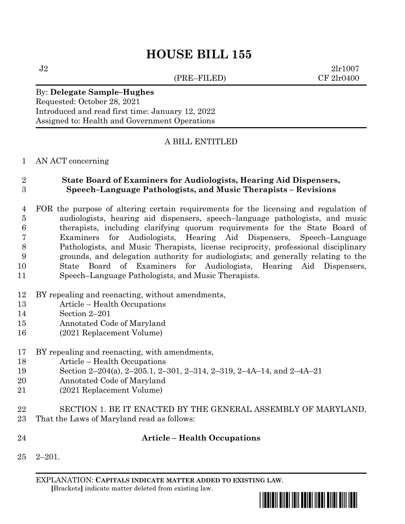(PRE–FILED) CF 2lr0400

 $J2 \t2lr1007$ 

# By: **Delegate Sample–Hughes**

Requested: October 28, 2021 Introduced and read first time: January 12, 2022 Assigned to: Health and Government Operations

## A BILL ENTITLED

## AN ACT concerning

# **State Board of Examiners for Audiologists, Hearing Aid Dispensers, Speech–Language Pathologists, and Music Therapists – Revisions**

- FOR the purpose of altering certain requirements for the licensing and regulation of audiologists, hearing aid dispensers, speech–language pathologists, and music therapists, including clarifying quorum requirements for the State Board of Examiners for Audiologists, Hearing Aid Dispensers, Speech–Language Pathologists, and Music Therapists, license reciprocity, professional disciplinary grounds, and delegation authority for audiologists; and generally relating to the State Board of Examiners for Audiologists, Hearing Aid Dispensers, Speech–Language Pathologists, and Music Therapists.
- BY repealing and reenacting, without amendments,
- Article Health Occupations
- Section 2–201
- Annotated Code of Maryland
- (2021 Replacement Volume)

## BY repealing and reenacting, with amendments,

- Article Health Occupations
- Section 2–204(a), 2–205.1, 2–301, 2–314, 2–319, 2–4A–14, and 2–4A–21
- Annotated Code of Maryland
- (2021 Replacement Volume)
- SECTION 1. BE IT ENACTED BY THE GENERAL ASSEMBLY OF MARYLAND, That the Laws of Maryland read as follows:
- **Article – Health Occupations**
- 2–201.

EXPLANATION: **CAPITALS INDICATE MATTER ADDED TO EXISTING LAW**.  **[**Brackets**]** indicate matter deleted from existing law.

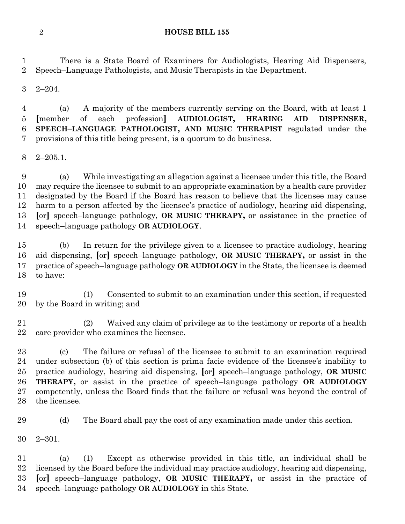There is a State Board of Examiners for Audiologists, Hearing Aid Dispensers, Speech–Language Pathologists, and Music Therapists in the Department.

2–204.

 (a) A majority of the members currently serving on the Board, with at least 1 **[**member of each profession**] AUDIOLOGIST, HEARING AID DISPENSER, SPEECH–LANGUAGE PATHOLOGIST, AND MUSIC THERAPIST** regulated under the provisions of this title being present, is a quorum to do business.

2–205.1.

 (a) While investigating an allegation against a licensee under this title, the Board may require the licensee to submit to an appropriate examination by a health care provider designated by the Board if the Board has reason to believe that the licensee may cause harm to a person affected by the licensee's practice of audiology, hearing aid dispensing, **[**or**]** speech–language pathology, **OR MUSIC THERAPY,** or assistance in the practice of speech–language pathology **OR AUDIOLOGY**.

 (b) In return for the privilege given to a licensee to practice audiology, hearing aid dispensing, **[**or**]** speech–language pathology, **OR MUSIC THERAPY,** or assist in the practice of speech–language pathology **OR AUDIOLOGY** in the State, the licensee is deemed to have:

 (1) Consented to submit to an examination under this section, if requested by the Board in writing; and

 (2) Waived any claim of privilege as to the testimony or reports of a health care provider who examines the licensee.

 (c) The failure or refusal of the licensee to submit to an examination required under subsection (b) of this section is prima facie evidence of the licensee's inability to practice audiology, hearing aid dispensing, **[**or**]** speech–language pathology, **OR MUSIC THERAPY,** or assist in the practice of speech–language pathology **OR AUDIOLOGY**  competently, unless the Board finds that the failure or refusal was beyond the control of the licensee.

(d) The Board shall pay the cost of any examination made under this section.

2–301.

 (a) (1) Except as otherwise provided in this title, an individual shall be licensed by the Board before the individual may practice audiology, hearing aid dispensing, **[**or**]** speech–language pathology, **OR MUSIC THERAPY,** or assist in the practice of speech–language pathology **OR AUDIOLOGY** in this State.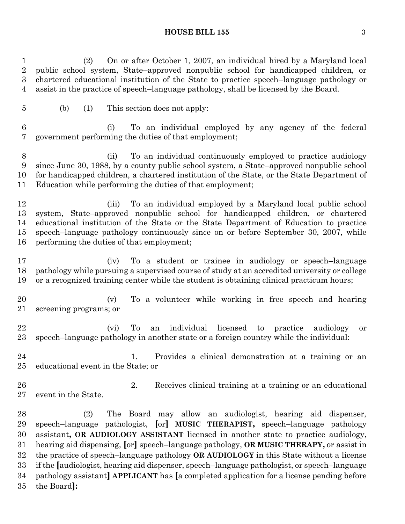(2) On or after October 1, 2007, an individual hired by a Maryland local public school system, State–approved nonpublic school for handicapped children, or chartered educational institution of the State to practice speech–language pathology or assist in the practice of speech–language pathology, shall be licensed by the Board.

(b) (1) This section does not apply:

 (i) To an individual employed by any agency of the federal government performing the duties of that employment;

 (ii) To an individual continuously employed to practice audiology since June 30, 1988, by a county public school system, a State–approved nonpublic school for handicapped children, a chartered institution of the State, or the State Department of Education while performing the duties of that employment;

 (iii) To an individual employed by a Maryland local public school system, State–approved nonpublic school for handicapped children, or chartered educational institution of the State or the State Department of Education to practice speech–language pathology continuously since on or before September 30, 2007, while performing the duties of that employment;

 (iv) To a student or trainee in audiology or speech–language pathology while pursuing a supervised course of study at an accredited university or college or a recognized training center while the student is obtaining clinical practicum hours;

 (v) To a volunteer while working in free speech and hearing screening programs; or

 (vi) To an individual licensed to practice audiology or speech–language pathology in another state or a foreign country while the individual:

 1. Provides a clinical demonstration at a training or an educational event in the State; or

 2. Receives clinical training at a training or an educational event in the State.

 (2) The Board may allow an audiologist, hearing aid dispenser, speech–language pathologist, **[**or**] MUSIC THERAPIST,** speech–language pathology assistant**, OR AUDIOLOGY ASSISTANT** licensed in another state to practice audiology, hearing aid dispensing, **[**or**]** speech–language pathology, **OR MUSIC THERAPY,** or assist in the practice of speech–language pathology **OR AUDIOLOGY** in this State without a license if the **[**audiologist, hearing aid dispenser, speech–language pathologist, or speech–language pathology assistant**] APPLICANT** has **[**a completed application for a license pending before the Board**]:**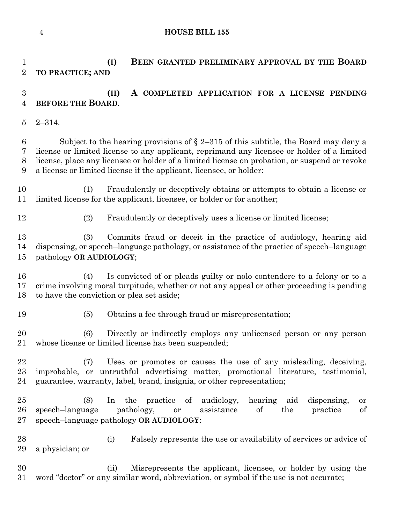# **(I) BEEN GRANTED PRELIMINARY APPROVAL BY THE BOARD TO PRACTICE; AND (II) A COMPLETED APPLICATION FOR A LICENSE PENDING BEFORE THE BOARD**. 2–314. 6 Subject to the hearing provisions of  $\S 2-315$  of this subtitle, the Board may deny a license or limited license to any applicant, reprimand any licensee or holder of a limited license, place any licensee or holder of a limited license on probation, or suspend or revoke a license or limited license if the applicant, licensee, or holder: (1) Fraudulently or deceptively obtains or attempts to obtain a license or limited license for the applicant, licensee, or holder or for another; (2) Fraudulently or deceptively uses a license or limited license; (3) Commits fraud or deceit in the practice of audiology, hearing aid dispensing, or speech–language pathology, or assistance of the practice of speech–language pathology **OR AUDIOLOGY**; (4) Is convicted of or pleads guilty or nolo contendere to a felony or to a crime involving moral turpitude, whether or not any appeal or other proceeding is pending to have the conviction or plea set aside; (5) Obtains a fee through fraud or misrepresentation; (6) Directly or indirectly employs any unlicensed person or any person whose license or limited license has been suspended; (7) Uses or promotes or causes the use of any misleading, deceiving, improbable, or untruthful advertising matter, promotional literature, testimonial, guarantee, warranty, label, brand, insignia, or other representation; (8) In the practice of audiology, hearing aid dispensing, or speech–language pathology, or assistance of the practice of speech–language pathology **OR AUDIOLOGY**: (i) Falsely represents the use or availability of services or advice of a physician; or (ii) Misrepresents the applicant, licensee, or holder by using the word "doctor" or any similar word, abbreviation, or symbol if the use is not accurate;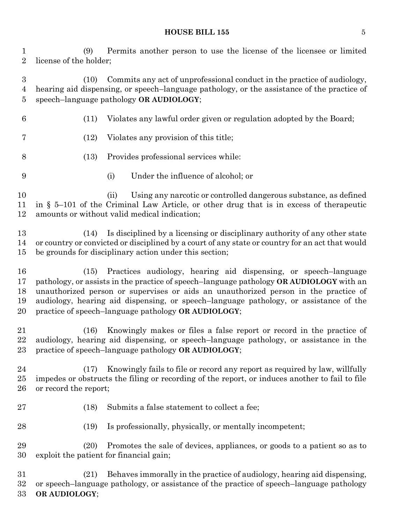(9) Permits another person to use the license of the licensee or limited license of the holder;

 (10) Commits any act of unprofessional conduct in the practice of audiology, hearing aid dispensing, or speech–language pathology, or the assistance of the practice of speech–language pathology **OR AUDIOLOGY**;

- (11) Violates any lawful order given or regulation adopted by the Board;
- (12) Violates any provision of this title;
- (13) Provides professional services while:
- (i) Under the influence of alcohol; or

 (ii) Using any narcotic or controlled dangerous substance, as defined in § 5–101 of the Criminal Law Article, or other drug that is in excess of therapeutic amounts or without valid medical indication;

 (14) Is disciplined by a licensing or disciplinary authority of any other state or country or convicted or disciplined by a court of any state or country for an act that would be grounds for disciplinary action under this section;

 (15) Practices audiology, hearing aid dispensing, or speech–language pathology, or assists in the practice of speech–language pathology **OR AUDIOLOGY** with an unauthorized person or supervises or aids an unauthorized person in the practice of audiology, hearing aid dispensing, or speech–language pathology, or assistance of the practice of speech–language pathology **OR AUDIOLOGY**;

 (16) Knowingly makes or files a false report or record in the practice of audiology, hearing aid dispensing, or speech–language pathology, or assistance in the practice of speech–language pathology **OR AUDIOLOGY**;

 (17) Knowingly fails to file or record any report as required by law, willfully impedes or obstructs the filing or recording of the report, or induces another to fail to file or record the report;

- (18) Submits a false statement to collect a fee;
- (19) Is professionally, physically, or mentally incompetent;

 (20) Promotes the sale of devices, appliances, or goods to a patient so as to exploit the patient for financial gain;

 (21) Behaves immorally in the practice of audiology, hearing aid dispensing, or speech–language pathology, or assistance of the practice of speech–language pathology **OR AUDIOLOGY**;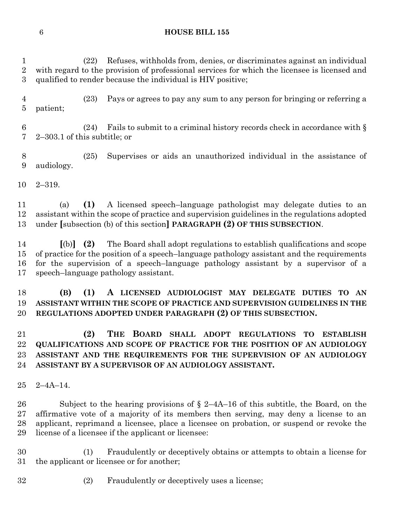(22) Refuses, withholds from, denies, or discriminates against an individual with regard to the provision of professional services for which the licensee is licensed and qualified to render because the individual is HIV positive;

 (23) Pays or agrees to pay any sum to any person for bringing or referring a patient;

6 (24) Fails to submit to a criminal history records check in accordance with  $\S$ 2–303.1 of this subtitle; or

 (25) Supervises or aids an unauthorized individual in the assistance of audiology.

2–319.

 (a) **(1)** A licensed speech–language pathologist may delegate duties to an assistant within the scope of practice and supervision guidelines in the regulations adopted under **[**subsection (b) of this section**] PARAGRAPH (2) OF THIS SUBSECTION**.

 **[**(b)**] (2)** The Board shall adopt regulations to establish qualifications and scope of practice for the position of a speech–language pathology assistant and the requirements for the supervision of a speech–language pathology assistant by a supervisor of a speech–language pathology assistant.

# **(B) (1) A LICENSED AUDIOLOGIST MAY DELEGATE DUTIES TO AN ASSISTANT WITHIN THE SCOPE OF PRACTICE AND SUPERVISION GUIDELINES IN THE REGULATIONS ADOPTED UNDER PARAGRAPH (2) OF THIS SUBSECTION.**

 **(2) THE BOARD SHALL ADOPT REGULATIONS TO ESTABLISH QUALIFICATIONS AND SCOPE OF PRACTICE FOR THE POSITION OF AN AUDIOLOGY ASSISTANT AND THE REQUIREMENTS FOR THE SUPERVISION OF AN AUDIOLOGY ASSISTANT BY A SUPERVISOR OF AN AUDIOLOGY ASSISTANT.**

2–4A–14.

 Subject to the hearing provisions of § 2–4A–16 of this subtitle, the Board, on the affirmative vote of a majority of its members then serving, may deny a license to an applicant, reprimand a licensee, place a licensee on probation, or suspend or revoke the license of a licensee if the applicant or licensee:

 (1) Fraudulently or deceptively obtains or attempts to obtain a license for the applicant or licensee or for another;

(2) Fraudulently or deceptively uses a license;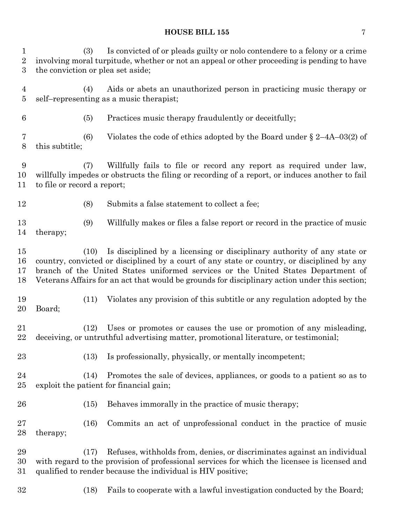(3) Is convicted of or pleads guilty or nolo contendere to a felony or a crime involving moral turpitude, whether or not an appeal or other proceeding is pending to have the conviction or plea set aside;

 (4) Aids or abets an unauthorized person in practicing music therapy or self–representing as a music therapist;

(5) Practices music therapy fraudulently or deceitfully;

 (6) Violates the code of ethics adopted by the Board under § 2–4A–03(2) of this subtitle;

 (7) Willfully fails to file or record any report as required under law, willfully impedes or obstructs the filing or recording of a report, or induces another to fail to file or record a report;

(8) Submits a false statement to collect a fee;

 (9) Willfully makes or files a false report or record in the practice of music therapy;

 (10) Is disciplined by a licensing or disciplinary authority of any state or country, convicted or disciplined by a court of any state or country, or disciplined by any branch of the United States uniformed services or the United States Department of Veterans Affairs for an act that would be grounds for disciplinary action under this section;

 (11) Violates any provision of this subtitle or any regulation adopted by the Board;

 (12) Uses or promotes or causes the use or promotion of any misleading, deceiving, or untruthful advertising matter, promotional literature, or testimonial;

(13) Is professionally, physically, or mentally incompetent;

 (14) Promotes the sale of devices, appliances, or goods to a patient so as to exploit the patient for financial gain;

(15) Behaves immorally in the practice of music therapy;

 (16) Commits an act of unprofessional conduct in the practice of music therapy;

 (17) Refuses, withholds from, denies, or discriminates against an individual with regard to the provision of professional services for which the licensee is licensed and qualified to render because the individual is HIV positive;

(18) Fails to cooperate with a lawful investigation conducted by the Board;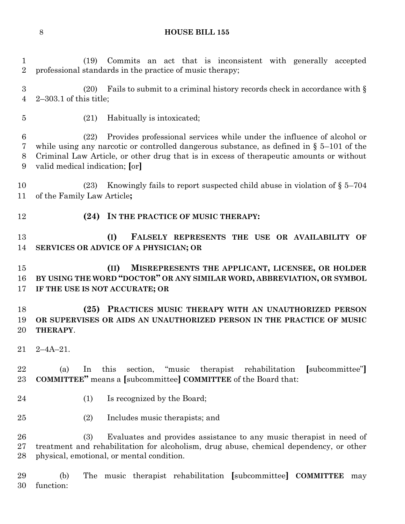(19) Commits an act that is inconsistent with generally accepted

professional standards in the practice of music therapy;

 (20) Fails to submit to a criminal history records check in accordance with § 2–303.1 of this title; (21) Habitually is intoxicated; (22) Provides professional services while under the influence of alcohol or while using any narcotic or controlled dangerous substance, as defined in § 5–101 of the Criminal Law Article, or other drug that is in excess of therapeutic amounts or without valid medical indication; **[**or**]** (23) Knowingly fails to report suspected child abuse in violation of § 5–704 of the Family Law Article**; (24) IN THE PRACTICE OF MUSIC THERAPY: (I) FALSELY REPRESENTS THE USE OR AVAILABILITY OF SERVICES OR ADVICE OF A PHYSICIAN; OR (II) MISREPRESENTS THE APPLICANT, LICENSEE, OR HOLDER BY USING THE WORD "DOCTOR" OR ANY SIMILAR WORD, ABBREVIATION, OR SYMBOL IF THE USE IS NOT ACCURATE; OR (25) PRACTICES MUSIC THERAPY WITH AN UNAUTHORIZED PERSON OR SUPERVISES OR AIDS AN UNAUTHORIZED PERSON IN THE PRACTICE OF MUSIC THERAPY**. 2–4A–21. (a) In this section, "music therapist rehabilitation **[**subcommittee"**] COMMITTEE"** means a **[**subcommittee**] COMMITTEE** of the Board that: 24 (1) Is recognized by the Board; (2) Includes music therapists; and (3) Evaluates and provides assistance to any music therapist in need of treatment and rehabilitation for alcoholism, drug abuse, chemical dependency, or other physical, emotional, or mental condition. (b) The music therapist rehabilitation **[**subcommittee**] COMMITTEE** may function: